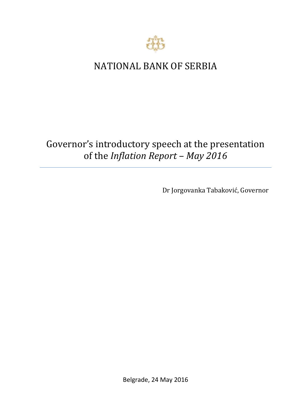

## NATIONAL BANK OF SERBIA

## Governor's introductory speech at the presentation of the *Inflation Report – May 2016*

Dr Jorgovanka Tabaković, Governor

Belgrade, 24 May 2016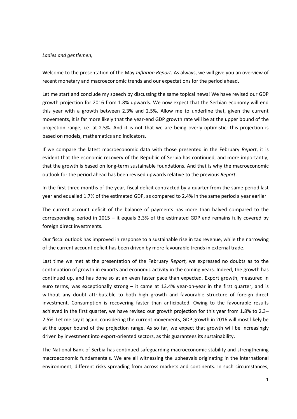## *Ladies and gentlemen,*

Welcome to the presentation of the May *Inflation Report.* As always, we will give you an overview of recent monetary and macroeconomic trends and our expectations for the period ahead.

Let me start and conclude my speech by discussing the same topical news! We have revised our GDP growth projection for 2016 from 1.8% upwards. We now expect that the Serbian economy will end this year with a growth between 2.3% and 2.5%. Allow me to underline that, given the current movements, it is far more likely that the year-end GDP growth rate will be at the upper bound of the projection range, i.e. at 2.5%. And it is not that we are being overly optimistic; this projection is based on models, mathematics and indicators.

If we compare the latest macroeconomic data with those presented in the February *Report*, it is evident that the economic recovery of the Republic of Serbia has continued, and more importantly, that the growth is based on long-term sustainable foundations. And that is why the macroeconomic outlook for the period ahead has been revised upwards relative to the previous *Report*.

In the first three months of the year, fiscal deficit contracted by a quarter from the same period last year and equalled 1.7% of the estimated GDP, as compared to 2.4% in the same period a year earlier.

The current account deficit of the balance of payments has more than halved compared to the corresponding period in 2015 – it equals 3.3% of the estimated GDP and remains fully covered by foreign direct investments.

Our fiscal outlook has improved in response to a sustainable rise in tax revenue, while the narrowing of the current account deficit has been driven by more favourable trends in external trade.

Last time we met at the presentation of the February *Report*, we expressed no doubts as to the continuation of growth in exports and economic activity in the coming years. Indeed, the growth has continued up, and has done so at an even faster pace than expected. Export growth, measured in euro terms, was exceptionally strong – it came at 13.4% yеаr-on-year in the first quarter, and is without any doubt attributable to both high growth and favourable structure of foreign direct investment. Consumption is recovering faster than anticipated. Owing to the favourable results achieved in the first quarter, we have revised our growth projection for this year from 1.8% to 2.3– 2.5%. Let me say it again, considering the current movements, GDP growth in 2016 will most likely be at the upper bound of the projection range. As so far, we expect that growth will be increasingly driven by investment into export-oriented sectors, as this guarantees its sustainability.

The National Bank of Serbia has continued safeguarding macroeconomic stability and strengthening macroeconomic fundamentals. We are all witnessing the upheavals originating in the international environment, different risks spreading from across markets and continents. In such circumstances,